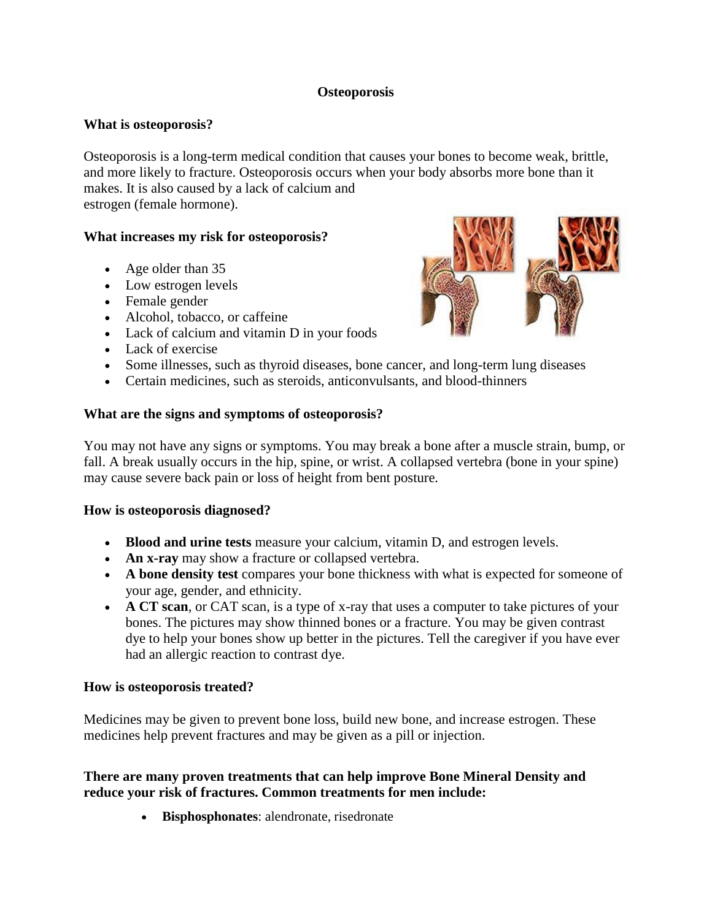## **Osteoporosis**

## **What is osteoporosis?**

Osteoporosis is a long-term medical condition that causes your bones to become weak, brittle, and more likely to fracture. Osteoporosis occurs when your body absorbs more bone than it makes. It is also caused by a lack of calcium and estrogen (female hormone).

## **What increases my risk for osteoporosis?**

- Age older than 35
- Low estrogen levels
- Female gender
- Alcohol, tobacco, or caffeine
- Lack of calcium and vitamin D in your foods
- Lack of exercise
- Some illnesses, such as thyroid diseases, bone cancer, and long-term lung diseases
- Certain medicines, such as steroids, anticonvulsants, and blood-thinners

#### **What are the signs and symptoms of osteoporosis?**

You may not have any signs or symptoms. You may break a bone after a muscle strain, bump, or fall. A break usually occurs in the hip, spine, or wrist. A collapsed vertebra (bone in your spine) may cause severe back pain or loss of height from bent posture.

#### **How is osteoporosis diagnosed?**

- **Blood and urine tests** measure your calcium, vitamin D, and estrogen levels.
- **An x-ray** may show a fracture or collapsed vertebra.
- **A bone density test** compares your bone thickness with what is expected for someone of your age, gender, and ethnicity.
- **A CT scan**, or CAT scan, is a type of x-ray that uses a computer to take pictures of your bones. The pictures may show thinned bones or a fracture. You may be given contrast dye to help your bones show up better in the pictures. Tell the caregiver if you have ever had an allergic reaction to contrast dye.

#### **How is osteoporosis treated?**

Medicines may be given to prevent bone loss, build new bone, and increase estrogen. These medicines help prevent fractures and may be given as a pill or injection.

## **There are many proven treatments that can help improve Bone Mineral Density and reduce your risk of fractures. Common treatments for men include:**

**Bisphosphonates**: alendronate, risedronate

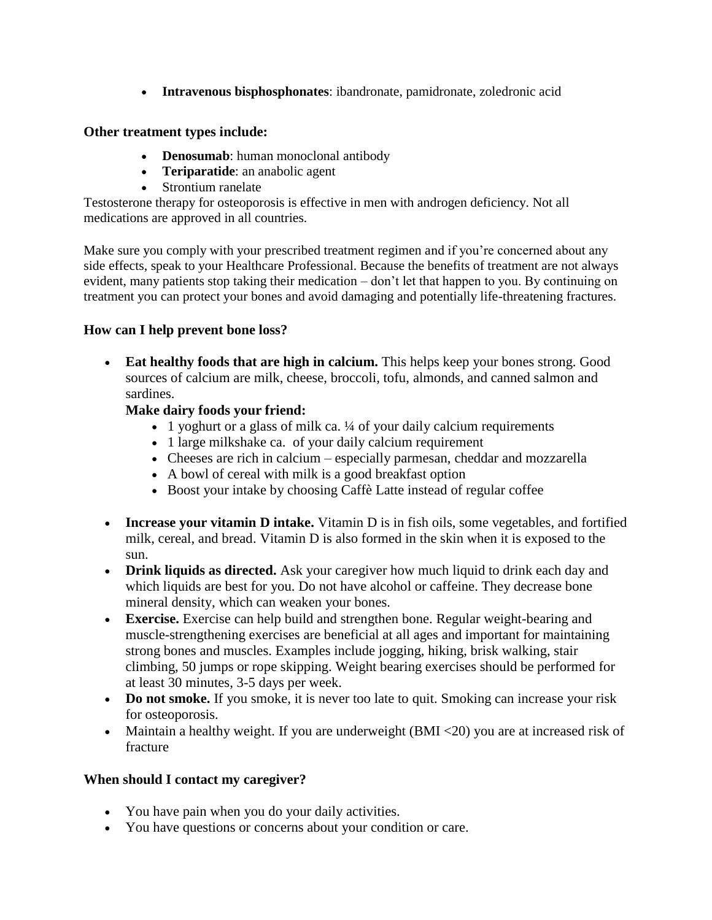**Intravenous bisphosphonates**: ibandronate, pamidronate, zoledronic acid

## **Other treatment types include:**

- **Denosumab**: human monoclonal antibody
- **Teriparatide**: an anabolic agent
- Strontium ranelate

Testosterone therapy for osteoporosis is effective in men with androgen deficiency. Not all medications are approved in all countries.

Make sure you comply with your prescribed treatment regimen and if you're concerned about any side effects, speak to your Healthcare Professional. Because the benefits of treatment are not always evident, many patients stop taking their medication – don't let that happen to you. By continuing on treatment you can protect your bones and avoid damaging and potentially life-threatening fractures.

# **How can I help prevent bone loss?**

 **Eat healthy foods that are high in calcium.** This helps keep your bones strong. Good sources of calcium are milk, cheese, broccoli, tofu, almonds, and canned salmon and sardines.

# **Make dairy foods your friend:**

- 1 yoghurt or a glass of milk ca. ¼ of your daily calcium requirements
- 1 large milkshake ca. of your daily calcium requirement
- Cheeses are rich in calcium especially parmesan, cheddar and mozzarella
- A bowl of cereal with milk is a good breakfast option
- Boost your intake by choosing Caffè Latte instead of regular coffee
- **Increase your vitamin D intake.** Vitamin D is in fish oils, some vegetables, and fortified milk, cereal, and bread. Vitamin D is also formed in the skin when it is exposed to the sun.
- **Drink liquids as directed.** Ask your caregiver how much liquid to drink each day and which liquids are best for you. Do not have alcohol or caffeine. They decrease bone mineral density, which can weaken your bones.
- **Exercise.** Exercise can help build and strengthen bone. Regular weight-bearing and muscle-strengthening exercises are beneficial at all ages and important for maintaining strong bones and muscles. Examples include jogging, hiking, brisk walking, stair climbing, 50 jumps or rope skipping. Weight bearing exercises should be performed for at least 30 minutes, 3-5 days per week.
- **Do not smoke.** If you smoke, it is never too late to quit. Smoking can increase your risk for osteoporosis.
- Maintain a healthy weight. If you are underweight (BMI <20) you are at increased risk of fracture

# **When should I contact my caregiver?**

- You have pain when you do your daily activities.
- You have questions or concerns about your condition or care.